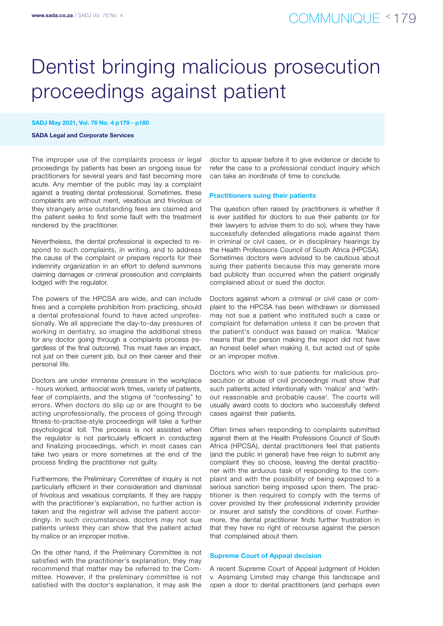# Dentist bringing malicious prosecution proceedings against patient

### SADJ May 2021, Vol. 76 No. 4 p179 - p180

#### SADA Legal and Corporate Services

The improper use of the complaints process or legal proceedings by patients has been an ongoing issue for practitioners for several years and fast becoming more acute. Any member of the public may lay a complaint against a treating dental professional. Sometimes, these complaints are without merit, vexatious and frivolous or they strangely arise outstanding fees are claimed and the patient seeks to find some fault with the treatment rendered by the practitioner.

Nevertheless, the dental professional is expected to respond to such complaints, in writing, and to address the cause of the complaint or prepare reports for their indemnity organization in an effort to defend summons claiming damages or criminal prosecution and complaints lodged with the regulator.

The powers of the HPCSA are wide, and can include fines and a complete prohibition from practicing, should a dental professional found to have acted unprofessionally. We all appreciate the day-to-day pressures of working in dentistry, so imagine the additional stress for any doctor going through a complaints process (regardless of the final outcome). This must have an impact, not just on their current job, but on their career and their personal life.

Doctors are under immense pressure in the workplace - hours worked, antisocial work times, variety of patients, fear of complaints, and the stigma of "confessing" to errors. When doctors do slip up or are thought to be acting unprofessionally, the process of going through fitness-to-practise-style proceedings will take a further psychological toll. The process is not assisted when the regulator is not particularly efficient in conducting and finalizing proceedings, which in most cases can take two years or more sometimes at the end of the process finding the practitioner not guilty.

Furthermore, the Preliminary Committee of inquiry is not particularly efficient in their consideration and dismissal of frivolous and vexatious complaints. If they are happy with the practitioner's explanation, no further action is taken and the registrar will advise the patient accordingly. In such circumstances, doctors may not sue patients unless they can show that the patient acted by malice or an improper motive.

On the other hand, if the Preliminary Committee is not satisfied with the practitioner's explanation, they may recommend that matter may be referred to the Committee. However, if the preliminary committee is not satisfied with the doctor's explanation, it may ask the doctor to appear before it to give evidence or decide to refer the case to a professional conduct inquiry which can take an inordinate of time to conclude.

#### Practitioners suing their patients

The question often raised by practitioners is whether it is ever justified for doctors to sue their patients (or for their lawyers to advise them to do so), where they have successfully defended allegations made against them in criminal or civil cases, or in disciplinary hearings by the Health Professions Council of South Africa (HPCSA). Sometimes doctors were advised to be cautious about suing their patients because this may generate more bad publicity than occurred when the patient originally complained about or sued the doctor.

Doctors against whom a criminal or civil case or complaint to the HPCSA has been withdrawn or dismissed may not sue a patient who instituted such a case or complaint for defamation unless it can be proven that the patient's conduct was based on malice. 'Malice' means that the person making the report did not have an honest belief when making it, but acted out of spite or an improper motive.

Doctors who wish to sue patients for malicious prosecution or abuse of civil proceedings must show that such patients acted intentionally with 'malice' and 'without reasonable and probable cause'. The courts will usually award costs to doctors who successfully defend cases against their patients.

Often times when responding to complaints submitted against them at the Health Professions Council of South Africa (HPCSA), dental practitioners feel that patients (and the public in general) have free reign to submit any complaint they so choose, leaving the dental practitioner with the arduous task of responding to the complaint and with the possibility of being exposed to a serious sanction being imposed upon them. The practitioner is then required to comply with the terms of cover provided by their professional indemnity provider or insurer and satisfy the conditions of cover. Furthermore, the dental practitioner finds further frustration in that they have no right of recourse against the person that complained about them.

#### Supreme Court of Appeal decision

A recent Supreme Court of Appeal judgment of Holden v. Assmang Limited may change this landscape and open a door to dental practitioners (and perhaps even